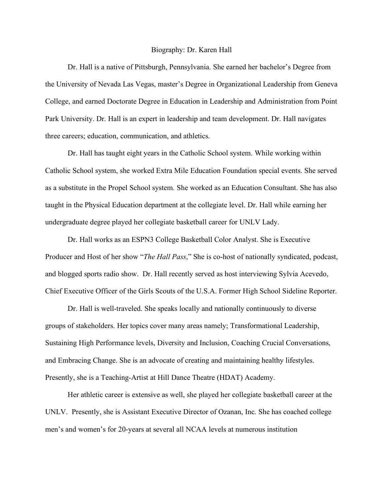## Biography: Dr. Karen Hall

Dr. Hall is a native of Pittsburgh, Pennsylvania. She earned her bachelor's Degree from the University of Nevada Las Vegas, master's Degree in Organizational Leadership from Geneva College, and earned Doctorate Degree in Education in Leadership and Administration from Point Park University. Dr. Hall is an expert in leadership and team development. Dr. Hall navigates three careers; education, communication, and athletics.

Dr. Hall has taught eight years in the Catholic School system. While working within Catholic School system, she worked Extra Mile Education Foundation special events. She served as a substitute in the Propel School system. She worked as an Education Consultant. She has also taught in the Physical Education department at the collegiate level. Dr. Hall while earning her undergraduate degree played her collegiate basketball career for UNLV Lady.

Dr. Hall works as an ESPN3 College Basketball Color Analyst. She is Executive Producer and Host of her show "*The Hall Pass*," She is co-host of nationally syndicated, podcast, and blogged sports radio show. Dr. Hall recently served as host interviewing Sylvia Acevedo, Chief Executive Officer of the Girls Scouts of the U.S.A. Former High School Sideline Reporter.

Dr. Hall is well-traveled. She speaks locally and nationally continuously to diverse groups of stakeholders. Her topics cover many areas namely; Transformational Leadership, Sustaining High Performance levels, Diversity and Inclusion, Coaching Crucial Conversations, and Embracing Change. She is an advocate of creating and maintaining healthy lifestyles. Presently, she is a Teaching-Artist at Hill Dance Theatre (HDAT) Academy.

Her athletic career is extensive as well, she played her collegiate basketball career at the UNLV. Presently, she is Assistant Executive Director of Ozanan, Inc. She has coached college men's and women's for 20-years at several all NCAA levels at numerous institution